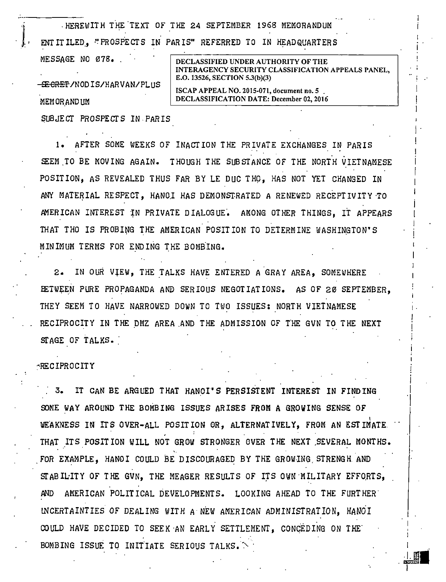. HEREWITH THE TEXT OF THE 24 SEPTEMBER 1968 MEMORANDUM

ENT IT ILED. "PROSPECTS IN PARIS" REFERRED TO IN HEADQUARTERS

E<del>ECRET</del>/NODIS/HARVAN/PLUS MEM OR.AND UM

MESSAGE NO 078. INTERAGENCY SECURITY CLASSIFICATION APPEALS PANEL, E.O. 13526, SECTION 5.3(b)(3)

i

ISCAP APPEAL NO. 2015-071, document no. 5 . DECLASSIFICATION DATE: December 02,2016

SUBJECT PROSPECTS IN PAR IS

1. AFTER SOME WEEKS OF INACTION THE PRIVATE EXCHANGES IN PARIS SEEM TO BE MOVING AGAIN. THOUGH THE SUBSTANCE OF THE NORTH VIETNAMESE POSITION, AS REVEALED THUS FAR BY LE DUC THO, HAS NOT YET CHANGED IN ANY MATERIAL RESPECT. HANOI HAS DEMONSTRATED A RENEWED RECEPTIVITY TO AMERICAN INTEREST IN PRIVATE DIALOGUE. AMONG OTHER THINGS, IT APPEARS THAT THO IS PROBING THE AMERICAN POSITION TO DETERMINE WASHINGTON'S MINIMUM TERMS FOR ENDING THE BOMBING.

2. IN OUR VIEW, THE TALKS HAVE ENTERED A GRAY AREA, SOMEWHERE EITWEEN PURE PROPAGANDA AND SERIOUS NEGOTIATIONS. AS OF 20 SEPTEMBER. THEY SEEM TO HAVE NARROWED DOWN TO TWO ISSUES: NORTH VIETNAMESE RECIPROCITY IN THE DMZ AREA .AND THE ADMISSION OF T'HE GVN TO THE NEXT STAGE OF TALKS.

## ''RECIPROCITY

3. IT CAN BE ARGUED THAT HANOI'S PERSISTENT INTEREST IN FINDING SOME WAY AROUND THE BOMBING ISSUES ARISES FROM A GROWING SENSE OF WEAKNESS IN ITS OVER-ALL POSITION OR, ALTERNATIVELY, FROM AN ESTIMATE ... THAT ITS POSITION WILL NOT GROW STRONGER OVER THE NEXT SEVERAL MONTHS. FOR EXAMPLE. HANOI COULD BE DISCOURAGED BY THE GROWING STRENGH AND STABILITY OF THE GVN, THE MEAGER RESULTS OF ITS OWN MILITARY EFFORTS, AND AMERICAN POLITICAL DEVELOPMENTS. LOOKING AHEAD TO THE FURTHER. tNCERTAINTIES OF DEALING WITH A NEW AMERICAN ADMINISTRATION, HANOI COULD HAVE DECIDED TO SEEK AN EARLY SETTLEMENT. CONCEDING ON THE BOMBING ISSUE TO INITIATE SERIOUS TALKS.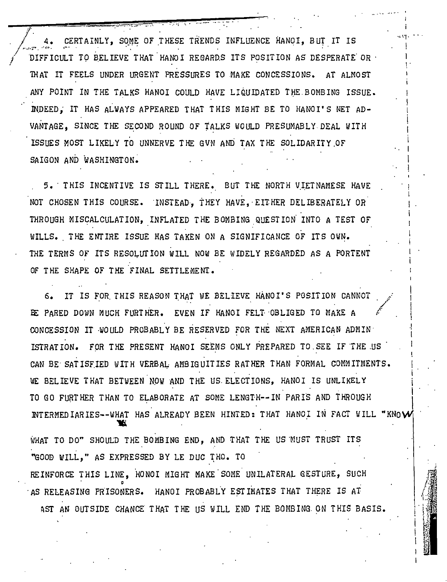CERTAINLY, SOME OF THESE TRENDS INFLUENCE HANOI, BUT IT IS 4. DIFFICULT TO BELIEVE THAT HANOI REGARDS ITS POSITION AS DESPERATE OR THAT IT FEELS UNDER URGENT PRESSURES TO MAKE CONCESSIONS. AT ALMOST ANY POINT IN THE TALKS HANOI COULD HAVE LIQUIDATED THE BOMBING ISSUE. MOEED. IT HAS ALWAYS APPEARED THAT THIS MIGHT BE TO HANOI'S NET AD-VANTAGE. SINCE THE SECOND ROUND OF TALKS WOULD PRESUMABLY DEAL WITH ISSUES MOST LIKELY TO UNNERVE THE GVN AND TAX THE SOLIDARITY OF SAIGON AND WASHINGTON.

5. THIS INCENTIVE IS STILL THERE. BUT THE NORTH VIETNAMESE HAVE NOT CHOSEN THIS COURSE. INSTEAD, THEY HAVE, EITHER DELIBERATELY OR THROUGH MISCALCULATION, INFLATED THE BOMBING QUESTION INTO A TEST OF WILLS. THE ENTIRE ISSUE HAS TAKEN ON A SIGNIFICANCE OF ITS OWN. THE TERMS OF ITS RESOLUTION WILL NOW BE WIDELY REGARDED AS A PORTENT OF THE SHAPE OF THE FINAL SETTLEMENT.

IT IS FOR THIS REASON THAT WE BELIEVE HANOI'S POSITION CANNOT 6. BE PARED DOWN MUCH FURTHER. EVEN IF HANOI FELT OBLIGED TO MAKE A CONCESSION IT WOULD PROBABLY BE RESERVED FOR THE NEXT AMERICAN ADMIN ISTRATION. FOR THE PRESENT HANOI SEEMS ONLY PREPARED TO SEE IF THE US CAN BE SATISFIED WITH VERBAL AMBIGUITIES RATHER THAN FORMAL COMMITMENTS. WE BELIEVE THAT BETWEEN NOW AND THE US ELECTIONS, HANOI IS UNLIKELY TO GO FURTHER THAN TO ELABORATE AT SOME LENGTH--IN PARIS AND THROUGH INTERMEDIARIES--WHAT HAS ALREADY BEEN HINTED: THAT HANOI IN FACT WILL "KNOV WHAT TO DO" SHOULD THE BOMBING END, AND THAT THE US MUST TRUST ITS "GOOD WILL." AS EXPRESSED BY LE DUC THO. TO REINFORCE THIS LINE. HONOI MIGHT MAKE SOME UNILATERAL GESTURE, SUCH AS RELEASING PRISONERS. HANOI PROBABLY ESTIMATES THAT THERE IS AT AST AN OUTSIDE CHANCE THAT THE US WILL END THE BOMBING ON THIS BASIS.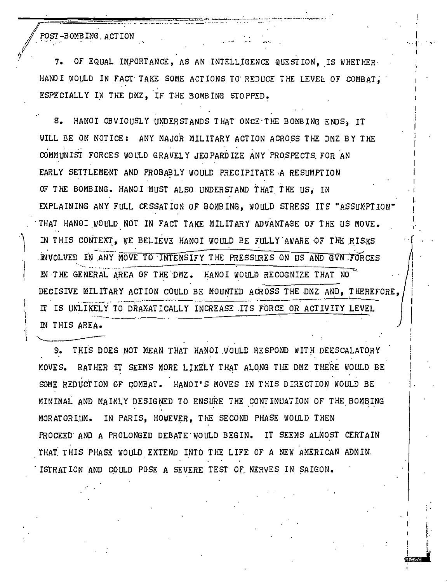POST-BOMBING ACTION

7. OF EQUAL IMPORTANCE, AS AN INTELLIGENCE QUESTION, IS WHETHER. HANDI WOULD IN FACT TAKE SOME ACTIONS TO REDUCE THE LEVEL OF COMBAT. ESPECIALLY IN THE DMZ. IF THE BOMBING STOPPED.

8. HANOI OBVIOUSLY UNDERSTANDS THAT ONCE THE BOMBING ENDS. IT WILL BE ON NOTICE: ANY MAJOR MILITARY ACTION ACROSS THE DMZ BY THE COMMUNIST FORCES WOULD GRAVELY JEOPARDIZE ANY PROSPECTS FOR AN EARLY SETTLEMENT AND PROBABLY WOULD PRECIPITATE A RESUMPTION OF THE BOMBING. HANOI MUST ALSO UNDERSTAND THAT THE US, IN EXPLAINING ANY FULL CESSATION OF BOMBING, WOULD STRESS ITS "ASSUMPTION" THAT HANGI WOULD NOT IN FACT TAKE MILITARY ADVANTAGE OF THE US MOVE. IN THIS CONTEXT, WE BELIEVE HANOI WOULD BE FULLY AWARE OF THE RISKS INVOLVED IN ANY MOVE TO INTENSIFY THE PRESSURES ON US AND GVN FORCES IN THE GENERAL AREA OF THE DMZ. HANOI WOULD RECOGNIZE THAT NO DECISIVE MILITARY ACTION COULD BE MOUNTED ACROSS THE DMZ AND. THEREFORE. IT IS UNLIKELY TO DRAMATICALLY INCREASE ITS FORCE OR ACTIVITY LEVEL IN THIS AREA.

THIS DOES NOT MEAN THAT HANOI WOULD RESPOND WITH DEESCALATORY 9. MOVES. RATHER IT SEEMS MORE LIKELY THAT ALONG THE DMZ THERE WOULD BE SOME REDUCTION OF COMBAT. HANOI'S MOVES IN THIS DIRECTION WOULD BE MINIMAL AND MAINLY DESIGNED TO ENSURE THE CONTINUATION OF THE BOMBING MORATORIUM. IN PARIS, HOWEVER, THE SECOND PHASE WOULD THEN PROCEED AND A PROLONGED DEBATE WOULD BEGIN. IT SEEMS ALMOST CERTAIN THAT THIS PHASE WOULD EXTEND INTO THE LIFE OF A NEW AMERICAN ADMIN. ISTRATION AND COULD POSE A SEVERE TEST OF NERVES IN SAIGON.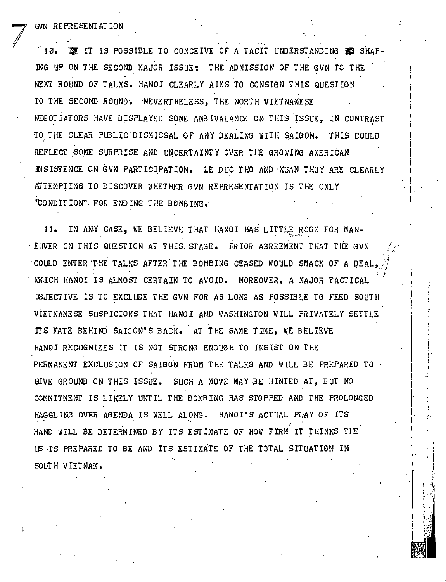GVN REPRESENTATION

IT IS POSSIBLE TO CONCEIVE OF A TACIT UNDERSTANDING EQ SHAP-់ ខេត ING UP ON THE SECOND MAJOR ISSUE: THE ADMISSION OF THE GUN TO THE NEXT ROUND OF TALKS. HANOI CLEARLY AIMS TO CONSIGN THIS QUESTION TO THE SECOND ROUND. NEVERTHELESS. THE NORTH VIETNAMESE NEGOTIATORS HAVE DISPLAYED SOME AMBIVALANCE ON THIS ISSUE. IN CONTRAST TO THE CLEAR PUBLIC DISMISSAL OF ANY DEALING WITH SAIGON. THIS COULD REFLECT SOME SURPRISE AND UNCERTAINTY OVER THE GROWING AMERICAN INSISTENCE ON GVN PARTICIPATION. LE DUC THO AND XUAN THUY ARE CLEARLY ATTEMPTING TO DISCOVER WHETHER GVN REPRESENTATION IS THE ONLY "CONDITION" FOR ENDING THE BOMBING.

IN ANY CASE, WE BELIEVE THAT HANOI HAS LITTLE ROOM FOR MAN- $11.$ EUVER ON THIS QUESTION AT THIS STAGE. PRIOR AGREEMENT THAT THE GVN COULD ENTER THE TALKS AFTER THE BOMBING CEASED WOULD SMACK OF A DEAL; WHICH HANOI IS ALMOST CERTAIN TO AVOID. MOREOVER, A MAJOR TACTICAL OBJECTIVE IS TO EXCLUDE THE GVN FOR AS LONG AS POSSIBLE TO FEED SOUTH VIETNAMESE SUSPICIONS THAT HANOI AND WASHINGTON WILL PRIVATELY SETTLE ITS FATE BEHIND SAIGON'S BACK. AT THE SAME TIME, WE BELIEVE HANOI RECOGNIZES IT IS NOT STRONG ENOUGH TO INSIST ON THE PERMANENT EXCLUSION OF SAIGON FROM THE TALKS AND WILL BE PREPARED TO GIVE GROUND ON THIS ISSUE. SUCH A MOVE MAY BE HINTED AT, BUT NO COMMITMENT IS LIKELY UNTIL THE BOMBING HAS STOPPED AND THE PROLONGED HAGGLING OVER AGENDA IS WELL ALONG. HANOI'S ACTUAL PLAY OF ITS HAND WILL BE DETERMINED BY ITS ESTIMATE OF HOW FIRM IT THINKS THE US IS PREPARED TO BE AND ITS ESTIMATE OF THE TOTAL SITUATION IN SOUTH VIETNAM.